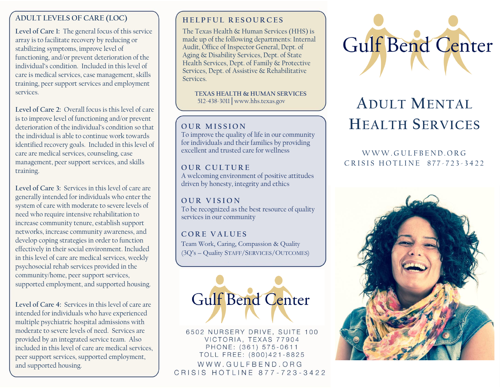# **ADULT LEVELS OF CARE (LOC)**

**Level of Care 1:** The general focus of this service array is to facilitate recovery by reducing or stabilizing symptoms, improve level of functioning, and/or prevent deterioration of the individual's condition. Included in this level of care is medical services, case management, skills training, peer support services and employment services.

**Level of Care 2:** Overall focus is this level of care is to improve level of functioning and/or prevent deterioration of the individual's condition so that the individual is able to continue work towards identified recovery goals. Included in this level of care are medical services, counseling, case management, peer support services, and skills training.

**Level of Care 3:** Services in this level of care are generally intended for individuals who enter the system of care with moderate to severe levels of need who require intensive rehabilitation to increase community tenure, establish support networks, increase community awareness, and develop coping strategies in order to function effectively in their social environment. Included in this level of care are medical services, weekly psychosocial rehab services provided in the community/home, peer support services, supported employment, and supported housing.

**Level of Care 4:** Services in this level of care are intended for individuals who have experienced multiple psychiatric hospital admissions with moderate to severe levels of need. Services are provided by an integrated service team. Also included in this level of care are medical services, peer support services, supported employment, and supported housing.

# **H E L P F U L R E S O U R C E S**

The Texas Health & Human Services (HHS) is made up of the following departments[: Internal](https://hhs.texas.gov/about-hhs/agencies-departments#internalaudit)  [Audit,](https://hhs.texas.gov/about-hhs/agencies-departments#internalaudit) [Office of Inspector General,](https://hhs.texas.gov/about-hhs/agencies-departments#OfficeofInspectorGeneral) [Dept. of](https://hhs.texas.gov/about-hhs/agencies-departments#dads)  [Aging & Disability Services,](https://hhs.texas.gov/about-hhs/agencies-departments#dads) [Dept. of State](https://hhs.texas.gov/about-hhs/agencies-departments#dshs)  [Health Services,](https://hhs.texas.gov/about-hhs/agencies-departments#dshs) [Dept. of Family & Protective](https://hhs.texas.gov/about-hhs/agencies-departments#dfps)  [Services,](https://hhs.texas.gov/about-hhs/agencies-departments#dfps) [Dept. of Assistive & Rehabilitative](https://hhs.texas.gov/about-hhs/agencies-departments#dars)  [Services.](https://hhs.texas.gov/about-hhs/agencies-departments#dars)

 **TEXAS HEALTH & HUMAN SERVICES** 512-438-3011│www.hhs.texas.gov

## **OUR MISSION**

To improve the quality of life in our community for individuals and their families by providing excellent and trusted care for wellness

## **OUR CULTURE**

A welcoming environment of positive attitudes driven by honesty, integrity and ethics

**O U R V I S I O N** To be recognized as the best resource of quality services in our community

**C O R E V A L U E S** Team Work, Caring, Compassion & Quality (3Q's – Quality STAFF/SERVICES/OUTCOMES)



6502 NURSERY DRIVE, SUITE 100 VICTORIA, TEXAS 77904 PHONE: (361) 575-0611 TOLL FREE: (800)421-8825 WWW.GULFBEND.ORG CRISIS HOTLINE 877-723-3422



# **ADULT MENTAL HEALTH SERVICES**

# W W W GULFBEND ORG CRISIS HOTLINE 877-723-3422